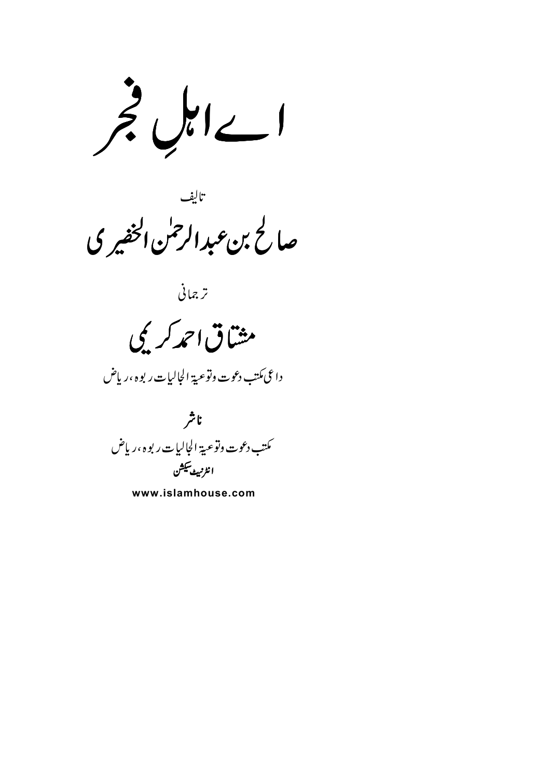اےاہل جر

۔<br>صالح بن *عبد الرحمٰن الخفیر* ک

ترجمانى

مشاق احمد کریمی

داعى مكتب دعوت وتوعية الجاليات ربوه ،رياض

ناشر كىتب دعوت وتوعية الجاليات ر بوه ،رياض انٹرنبٹ سکشن

www.islamhouse.com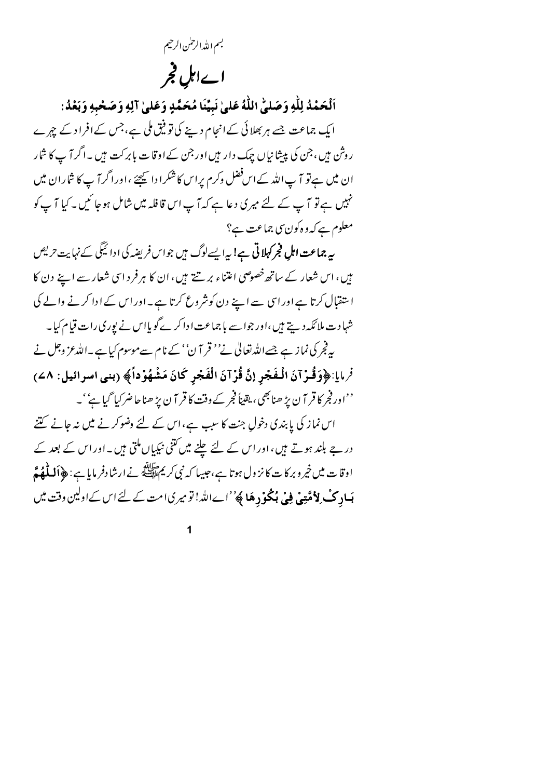بسم الله الرحمٰن الرحيم

## اےاہل فجر

اَلْحَمْدُ لِلَّهِ وَصَلَّىٰ اللَّهُ عَلَىٰ نَبِيِّنَا مُحَمَّدٍ وَعَلَىٰ آلِهِ وَصَحْبِهِ وَبَعْدُ: ایک جماعت جسے ہر بھلائی کے انجام دینے کی تو فیق ملی ہے، جس کے افراد کے چہرے روش ہیں،جن کی پیشانیاں چیک دار ہیں اور جن کےاوقات بابرکت ہیں ۔اگر آ پ کا شار ان میں ہے تو آ پ اللہ کے اس فضل وکرم پراس کاشکرادا پیچئے ،اوراگر آ پ کا شاران میں نہیں ہے تو آ پ کے لئے میری دعا ہے کہ آ پ اس قافلہ میں شامل ہوجا ئیں۔کیا آ پ کو معلوم ہے کہ و ہ کون سی جماعت ہے؟

یہ **جماعت اہل فجرکہلاتی ہے!** پیرا پسےلوگ ہیں جواس فریضہ کی ادا ٹیگی کے نہایت *حری*ص ہیں، اس شعار کے ساتھ خصوصی اعتناء بر تنے ہیں، ان کا ہر فرد اسی شعار سے اپنے دن کا استقبال کرتا ہے اور اسی سے اپنے دن کونثر وع کرتا ہے۔ اور اس کے ادا کرنے والے کی شہادت ملائکہ دیتے ہیں ،اور جواسے ہا جماعت ادا کرے گو یااس نے یوری رات قیام کیا۔ بہ فجر کی نماز ہے جسےاللہ تعالیٰ نے'' قر آ ن'' کے نام سےموسوم کیا ہے۔اللہ عز وجل نے فرمايا:﴿وَقُوْآنَ الْمُفَجِّرِ إِنَّ قُوْآنَ الْفَجْرِ كَانَ مَشْهُوْداً﴾ (بنبي اسرائيل: ٨٤)

''اور فجر کا قر آن پڑ ھنا بھی، یقیناً فجر کے وقت کا قر آن پڑ ھنا حاضر کیا گیا ہے''۔ اس نماز کی پابندی دخولِ جنت کا سبب ہے،اس کے لئے وضوکر نے میں نہ جانے گتنے در جے بلند ہوتے ہیں،اوراس کے لئے چلنے میں کتنی نیکیاں ملتی ہیں۔اوراس کے بعد کے اوقات میں خپر و بر کا ت کا نز ول ہوتا ہے،حبیبا کہ نبی کریم ایلی ہے ۔ ارشادفر مایا ہے : ﴿ **اَللَّٰهُمّ بَیادِکْ لِاُمَّتِیْ فِیْ ہُکُوْدِهَا ﴾**''اےاللہ! تومیریامت کے لئے اس کےاولین وقت میں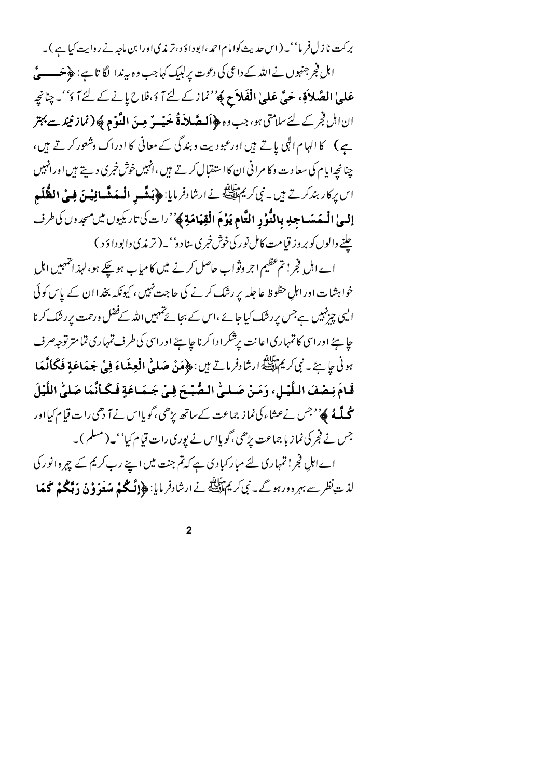برکت نا زل فر ما''۔ ( اس حدیث کوامام احمہ ،ابودا وَ د ،تر مذی اورا بن ماحیہ نے روایت کیا ہے )۔ اہل فجر جنہوں نے اللہ کے داعی کی دعوت پر لبیک کہاجب وہ سرندا لگا تا ہے : ﴿ حَسِسِيٌّ عَلَىٰ الصَّلاَقِ، حَيَّ عَلَىٰ الْفَلاَحِ ﴾''نماز کے لئے آ دَ،فلاح پانے کے لئے آ دُ''۔ چنانچہ ان اہل فجر کے لئے سلامتی ہو، جب وہ ﴿ **اَلـصَّلاَّهُ حَیْــوٌ مِـنَ النَّوْمِ ﴾ ( نماز نبند سے بہتر** ہے ) کا الہام الٰہی یاتے ہیں اورعبو دیت و بندگی کے معانی کا ادراک وشعور کرتے ہیں، جنانچه ایام کی سعا دت وکا مرانی ان کا استقبال کرتے ہیں ،انہیں خوش خبر کی دیتے ہیں اورانہیں اس بركار بندكرتے ہيں۔ نبى كريم الله في ارشادفر مايا: ﴿ بَيشِّيهِ **الْبِيَهْشَاؤِيْيِنَ فِي الظُّلَمِ** إلىيٰ الْمُهَسَاجِدِ بِالنُّوْدِ التَّامِ يَوْمَ الْقِيَامَةِ ﴾ ''رات كي تاريكيوں ميں مسجدوں كى طرف

چلنے والوں کو بر وز قیامت کامل نو رکی خوش خبری سنا دو' ۔ (تر مذی وابوداؤ د ) اے اہل فجر! تم عظیم اجر وثواب حاصل کرنے میں کا میاب ہو چکے ہو،لہذ انتہہیں اہلِ خواہشات اور اہل حظوظ عاجلہ پر رشک کرنے کی حاجت نہیں ، کیونکہ بخدا ان کے پاس کوئی ایپی چزنہیں ہےجس بررشک کیا جائے ،اس کے بجائے تہہیں اللہ کےفضل ورحمت بررشک کرنا حا ہئے اوراسی کا تمہاری اعا نت برشکرا دا کرنا جا ہئے اوراسی کی طرف تمہاری تمامتر توجیہ صرف ہونی جا ہئے۔ نبی کریمﷺ ارشادفر ماتے ہیں: ﴿ مَنْ صَلَّىٰ الْعِشَاءَ فِي جَهَاعَةٍ فَكَانَّهَا قَـامَ نِـصْفَ الـلَّـْـلِ، وَمَنْ صَـلـىٰ الـصُّبْـحَ فِـىٰ جَـمَـاعَةٍ فَـكَـأنَّمَا صَلَّىٰ اللَّيْلَ **مُحلَّـهُ ﴾''** جس نےعشاء کی نماز جماعت کے ساتھ بڑھی ،گویااس نے آ دھی رات قیام کیااور جس نے فجر کی نماز با جماعت پڑھی ،گویااس نے یوری رات قیام کیا''۔(مسلم )۔ اے اہلِ فجر! تمہاری لئے مبار کبادی ہے کہ تم جنت میں اپنے رب کر یم کے چہرہ انور کی لذت *نظر سے بہر* ہ ورہو گے۔ نبی کریم اللہ پھولائے نے ارشادفر مایا: ﴿**إِنَّكُمْ مَسَعَدَ وْنَ دَبَّكُمْ كَهَا** 

 $\overline{2}$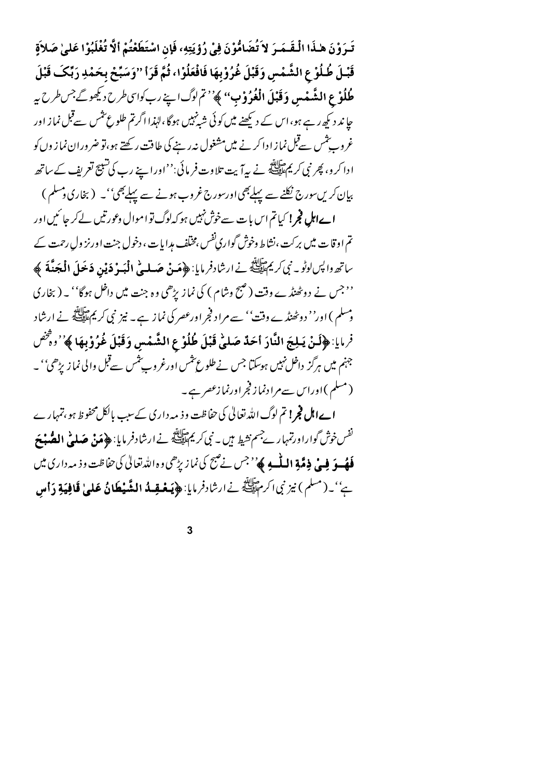تَـرَوْنَ هٰـذَا الْـقَـمَـرَ لاَ تُضَامُّوْنَ فِيْ رُؤِيَتِهِ، فَإِن اسْتَطَعْتُمْ أَلَّا تُغْلَبُوْا عَلىٰ صَلاَةٍ قَبْـلَ طُلُوْ عِ الشَّمْسِ وَقَبْلَ غُرُوْبِهَا فَافْعَلُوْا، ثُمَّ قَرَأ ''وَسَبِّحْ بِحَمْدِ رَبِّكَ قَبْلَ **طُلُوْعِ الشَّعْسِ وَقَبْلَ الْغُوُوْبُ**" ﴾''تم لوگ اپنے رب کواسی طرح دیکھوگ<sup>جس</sup> طرح بیر جا ند دیکھ رہے ہو،اس کے دیکھنے میں کوئی شیٹہبیں ہوگا،لہٰذااگرتم طلوع تثمیں سےقبل نماز اور غروب شس سےقبل نما زا دا کرنے میں مشغول نہ رہنے کی طاقت رکھتے ہو،تو ضروران نما ز وں کو ادا کر و، پھر نبی کریمﷺ نے بیہآ بت تلاوت فر مائی:''اوراپنے رب کی تنبیج تعریف کے ساتھ بیان کریںسورج نکلنے سے پہلےبھی اورسورج غروب ہونے سے پہلےبھی''۔ (بخاری دمسلم ) **اےاہل فجر!** کیاتم اس بات سےخوش نہیں ہو کہ لوگ تو اموال وعورتیں لے کر جا <sup>س</sup>یں اور تم اوقات میں برکت ،نشاط وخوش گواری نفس ،مخلّف مدایات ، دخول جنت اورنز ول رحمت کے

ساتھ واپس لوٹو ۔ نبی کریمﷺ نے ارشادفر مایا: ﴿ **مَنْ صَـل<sub>ّٰف</sub>ُ الْبَـوْ دَيْنِ دَعَولَ الْمَجَنَّةَ ﴾** ''جس نے دوٹھنڈے وقت (صبح وشام ) کی نماز بڑھی وہ جنت میں داخل ہوگا'' یہ (بخاری وسلم ) اور'' دوٹھنڈ ے وقت'' سے مراد فجر اورعصر کی نماز ہے۔ نیز نبی کریمﷺ نے ارشاد فرمايا: ﴿لَنْ يَبِلِجَ النَّادَ أَحَدٌ صَلَّىٰ قَبْلَ طُلُوْعِ الشَّمْسِ وَقَبْلَ غُرُوْبِهَا ﴾''وقُص جنہم میں ہرگز داخل نہیں ہوسکتا جس نے طلوع سٹمس اورغروب شمس سےقبل والی نماز پڑھی'' ۔ (مسلم)اوراس سےم ادنماز فجراورنمازعصر ہے۔

**اےاہل فجر! تم** لوگ اللہ تعالیٰ کی حفاظت وفہ مہ داری کے سبب بالکل محفوظ ہو، تمہار ے نفس خوش گواراورتمہار بےجسم نشیط ہیں ۔ نبی کریمﷺ نے ارشادفر مایا: ﴿ مَنْ صَلَّتِي **الصُّبْحَ فَهُــوَ فِي ذِمَّةِ اللَّــهِ ﴾** ' <sup>ج</sup>س نے ضمح کی نماز بڑھی و ہ اللّٰہ تعالیٰ کی حفاظت و ذیہ داری میں يُّ' \_ (مسلم ) نيز نبي اكرم تَلِيَّلَةٌ نے ارشادفر مايا: ﴿ **يَعْضِدُ الشَّيْطَانُ عَلَىٰ قَافِيَةِ دَأْس** 

 $\overline{3}$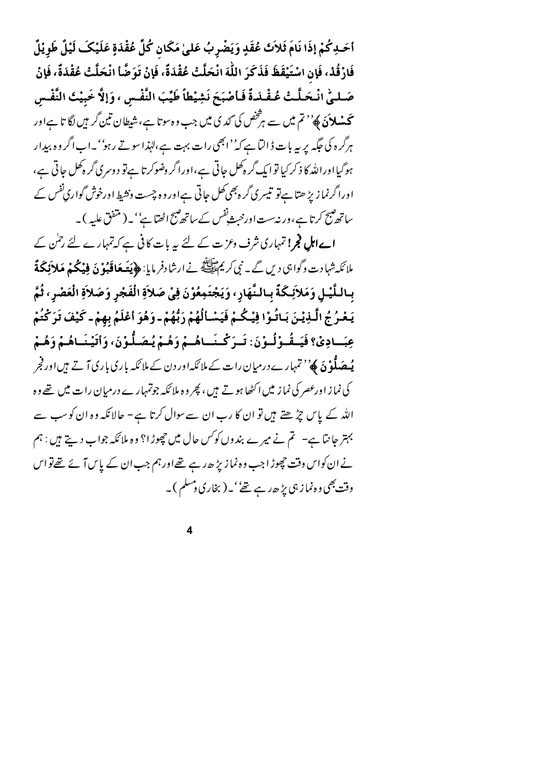أَحَدِكُمْ إِذَا نَامَ ثَلاَثَ عُقَدٍ وَيَضْرِبُ عَلَىٰ مَكَانٍ كُلِّ عُقْدَةٍ عَلَيْكَ لَيْلٌ طَوِيْلٌ فَارْقُدْ، فَإِن اسْتَيْقَظَ فَذَكَرَ اللَّهَ انْحَلَّتْ عُقْدَةٌ، فَإِنْ تَوَضَّأ انْحَلَّتْ عُقْدَةٌ، فَإِنْ صَـلـِيِّ انْـحَلَّـتْ عُـقْـلَدةٌ فَـأصْبَحَ نَشِيْطاً طَيِّبَ النَّفْـسِ ، وَإِلَّا خَبِيْتُ النَّفْـس **تحیشلائ** کھ<sup>ی' م</sup>تم میں سے ہ*ر څخص* کی *گڈ* کی میں جب وہ سوتا ہے، شیطان تین گر ہیں لگا تا ہےاور ہرگرہ کی جگہ پر ہہ بات ڈالتا ہے کہ''ابھی رات بہت ہے،لہٰذاسو تے رہو''۔اب اگر وہ بیدار ہوگیااوراللہ کا ذکر کیا توا یک گر ہ کھل جاتی ہے،اورا گر دضوکر تا ہےتو د وسری گر ہ کھل جاتی ہے، اورا گرنما زیڑ ھتا ہےتو تیسری گر ہ بھی کھل جاتی ہےاور و ہ چست ونشیط اورخوش گواری نفس کے ساتھ مہیج کرتا ہے، ورنہ ست اور خبثے نفس کے ساتھ مہیج اٹھتا ہے''۔( متفق علیہ )۔

ا**ے اہل فجر!** تمہاری شرف وعزت کے لئے یہ بات کافی ہے کہ تمہارے لئے رحمٰن کے ملائکہ شہادت وگواہی دیں گے۔ نبی کریم ایضا پر نے ارشادفر مایا: ﴿ **یَعَهَافَبُوْ نَ فِیْکُمْ مَلاَئِکَةٌ** بِاللَّيْـلِ وَمَلاَئِكَةٌ بِالنَّهَارِ، وَيَجْتَمِعُوْنَ فِيْ صَلاَةِ الْفَجْرِ وَصَلاَةِ الْعَصْرِ، ثُمّ يَعْبُرُ جُ الَّـذِيْنَ بَـاتُـوْا فِيْـكُـمْ فَيَسْـأَلُهُمْ رَبُّهُمْ ـ وَهُوَ أَعْلَمُ بِهِمْ ـ كَيْفَ تَرَكْتُمْ عِبَسادِيْ؟ فَيَسقُسوْ لُسوْنَ: تَسوَ كُسنَساهُسْمْ وَهُسْمْ يُصَيلُوْنَ، وَأَتَيْنَسَاهُسْمْ وَهُسْ **یُہ صَلُّوْنَ ﴾** ُ' تمہار ے درمیان رات کے ملائکہاور دن کے ملائکہ باری باری آتے ہیں اور فجر کی نما ز اورعصر کی نما زیلں اکٹھا ہوتے ہیں ، پھر وہ ملا ٹکہ جوتمہارے درمیان را ت میں تھے وہ اللہ کے پاس چڑھتے ہیں تو ان کا رب ان سے سوال کرتا ہے – حالانکہ وہ ان کو سب سے بہتر جانتا ہے۔ تم نے میرے بندوں کو س حال میں چھوڑا؟ وہ ملا ئکہ جواب دیتے ہیں : ہم نے ان کواس وقت چھوڑ ا جب وہ نمازیڑ ھ رہے تھےاور ہم جب ان کے پاس آ ئے تھے تو اس وقت بھی وہ نماز ہی پڑ حدر ہے تھے' ۔ (بخاری ومسلم )۔

 $\overline{\mathbf{4}}$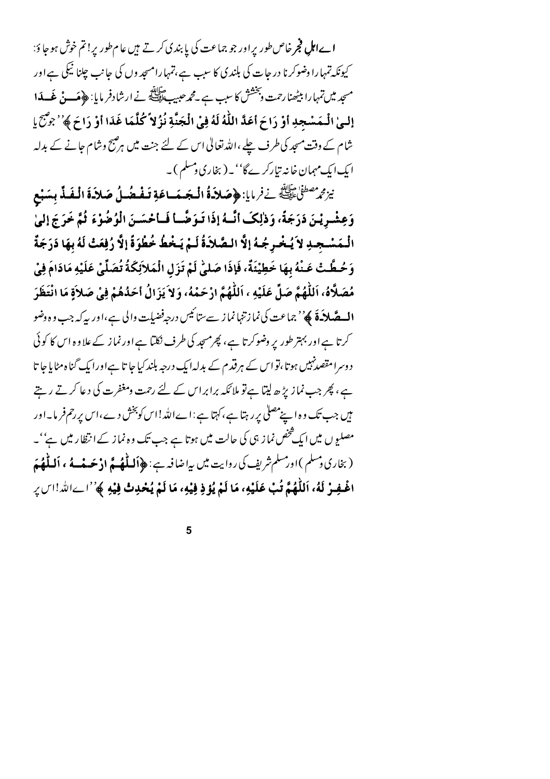**اےاہلِ فجر** خاص طور پراور جو جماعت کی پا بندی کرتے ہیں عام طور پر ! تم خوش ہوجا ؤ: کیونکہ تمہارا وضوکرنا در حات کی بلندی کا سبب ہے،تمہارامسجد وں کی جانب چلنا نیکی ہے اور مسجد میں تمہا را بیٹھنا رحمت وبخشش کا سب ہے ۔مجم*ر صبی*ب ﷺ نے ارشا دفر ما یا: ﴿ مَــوْنٌ غَــ**ـدَا** إِلَـىٰ الْـمَسْجِدِ أَوْ رَاحَ أَعَدَّ اللَّهُ لَهُ فِي الْجَنَّةِ نُزُلاً كُلَّمَا غَدَا أَوْ رَاحَ ﴾ ُ' جِمْع شام کے وقت مسجد کی طرف چلے ،اللہ تعالیٰ اس کے لئے جنت میں ہر صبح وشام جانے کے بدلہ ایک ایک مہمان خانہ تیارکرےگا' ۔ (بخاری دمسلم )۔

نِيزِمُ مُصْلَىٰٓا صَلَالِكَ فِرْمَايا: ﴿ صَلاَةُ الْمَجَسَىاعَةِ تَفْعُدُلُ صَلاَةَ الْفَذِّ بِسَبْع وَعِشْرِيْنَ دَرَجَةً، وَدْلِكَ أَنَّسُهُ إِذَا تَبِوَضَّـا فَسَاحْسَنَ الْوُضُوْءَ فُمَّ خَرَجَ إِلَيْ الْـمَسْـجـدِ لاَ يُـخْـرِجُـهُ إلَّا الـصَّلاَـةُ لَـمْ يَـخْطُ خُطْوَةً إلَّا رُفِعَتْ لَهُ بِهَا دَرَجَةٌ وَحُطَّتْ عَنْهُ بِهَا خَطِيْئَةٌ، فَإِذَا صَلَّىٰ لَمْ تَزَلِ الْمَلاَئِكَةُ تُصَلِّيْ عَلَيْهِ مَادَامَ فِيْ مُصَلَّاهُ، اَللَّهُمَّ صَلِّ عَلَيْهِ ، اَللَّهُمَّ ارْحَمْهُ، وَلاَ يَزَالُ أَحَدُهُمْ فِيْ صَلاَةٍ مَا انْتَظَرَ **الـصَّلاَءَ ﴾** 'جماعت کی نما زننہا نما ز سے س<sub>ِّا</sub> ئیس درجہ فضیلت والی ہے،اور پہ کہ جب وہ وضو کرتا ہے اور بہتر طور پر وضوکرتا ہے، پھِرمسجد کی طرف نکتا ہے اور نماز کے علاوہ اس کا کوئی د وسرا مقصدنہیں ہوتا،نواس کے ہرقدم کے بدلہ ایک درجہ بلند کیا جا تا ہےاورا یک گناہ مٹایا جا تا ہے ، پھر جب نماز پڑھ لیتا ہے تو ملائکہ برابراس کے لئے رحمت ومغفرت کی دعا کرتے رہتے میں جب تک و ہ اپنے مصلی پر رہتا ہے، کہتا ہے : اے اللہ!اس کو بخش دے،اس پر رحم فریا۔اور مصلیوں میں ایک څخص نما ز ہی کی حالت میں ہوتا ہے جب تک وہ نما ز کےا نظار میں ہے''۔ (بخاری دسلم )اورمسلم شریف کی روایت میں پیاضا فیہ؛ ﴿أَلَـلَّٰهُ ـمَّ ادْ حَسفَـهُ ، أَلَـلَّٰهُ مَ اغْـفِـرْ لَهُ، اَللَّهُمَّ تُبْ عَلَيْهِ، مَا لَمْ يُؤذِ فِيْهِ، مَا لَمْ يُحْدِتْ فِيْهِ ﴾ ُ'اِ\_الله!اسِ رِ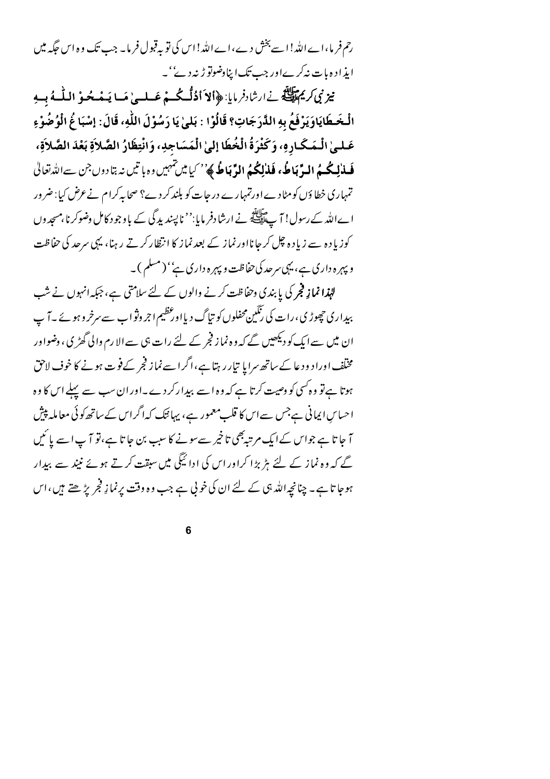رحم فر ما،اے اللہ!اسے بخش دے،اے اللہ!اس کی تو بہ قبول فر ما۔ جب تک وہ اس حَکمہ میں ایذاد ہ ہات نہ کرےاور جب تک اپناوضوتو ڑنہ دے''۔

نيز نِي كريم تِينَ فِي ارشادفر مايا: ﴿ أَلاَ أَذُلُّكُ مْ عَسلِي مَسا يَبِعْبِ حُوْ اللَّهِ مُ مِيهِ الْخَطَايَاوَيَرْفَعُ بِهِ الدَّرَجَاتِ؟ قَالُوْا : بَلَىٰ يَا رَسُوْلَ اللَّهِ، قَالَ: إِسْبَا غُ الْوُضُوْءِ عَـلـىٰ الْـمَـكَـارِهِ، وَكَثْرَةُ الْخُطَا إِلَىٰ الْمَسَاجِدِ، وَانْتِظَارُ الصَّلاَةِ بَعْدَ الصَّلاَةِ، فَسلْهِ لِمُحْسِمُ البِّرِّ بَاطُهُ فَلألِكُمُ الدِّ بَاطُ ﴾ُ' ´ كيا مين تنهيں وه با تيں نہ بتا دوں جن سےالله تعالى تمہاری خطا وَں کومٹا دے اورتمہارے در جات کو بلند کر دے؟ صحابہ کرام نے عرض کیا : ضرور اے اللہ کے رسول! آ ے ایللہ نے ارشادفر مایا:'' ناپسند بدگی کے یاوجود کامل وضوکرنا،مسجد وں کوزیادہ سے زیادہ چل کرجانااورنماز کے بعدنماز کا انتظار کرتے رہنا، یہی سرحد کی حفاظت و پہرہ داری ہے، یہی سرحد کی حفاظت و پہرہ داری ہے'' (مسلم )۔

للہٰذا نما نہ فجر کی پابندی وحفاظت کرنے والوں کے لئے سلامتی ہے، جبکہ انہوں نے شب بیداری حچھوڑی،رات کی رنگین محفلوں کو تیا گ دیااور عظیم اجر وثواب سے سرخروہو ئے ۔آ پ ان میں سے ایک کو دیکھیں گے کہ و ہ نماز فجر کے لئے رات ہی سے الا رم والی گھڑ کی ، وضواور مخلّف اوراد ودعا کے ساتھ سرایا تیار رہتا ہے،اگراسے نماز فجر کے فوت ہونے کا خوف لاحق ہوتا ہے تو وہ کسی کو وصیت کرتا ہے کہ وہ اسے بہدار کر دے۔اور ان سب سے پہلے اس کا وہ احساس ایمانی ہےجس سے اس کا قلب معمور ہے، یہائیک کہ اگراس کے ساتھ کوئی معاملہ پیش آ جا تا ہے جواس کےایک مرتبہ بھی تاخیر سے سونے کا سبب بن جا تا ہے،تو آ پ اسے پائیں گے کہ وہ نماز کے لئے ہڑ ہڑا کراور اس کی ادا ئیگی میں سبقت کرتے ہوئے نبیٰد سے بہدار ہوجا تا ہے۔ چنانچہ اللہ ہی کے لئے ان کی خو پی ہے جب وہ وقت پرنما نِہجْر پڑھتے ہیں ،اس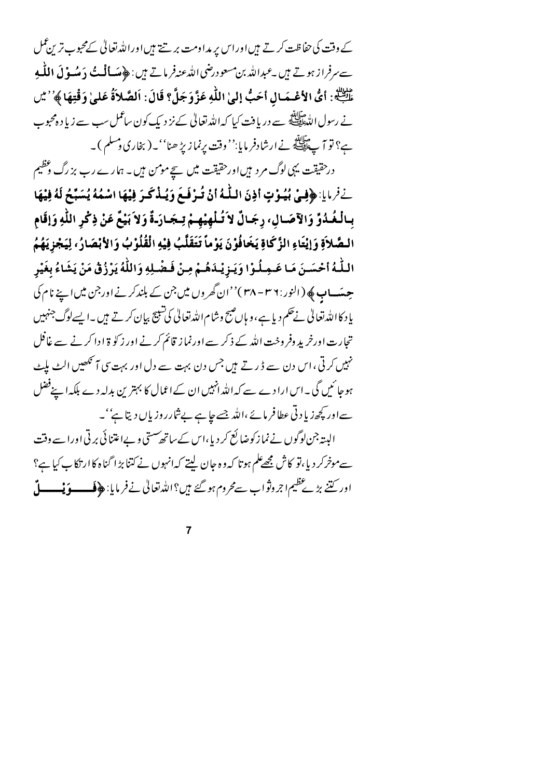کے وقت کی حفاظت کرتے ہیں اوراس پر مداومت بر تنے ہیں اوراللہ تعالیٰ کےمحبوب ترین عمل سے سرفرا زیوتے ہیں ۔عبداللہ بن مسعود رضی اللہ عنہ فرماتے ہیں : ﴿ مَسَالَتُ دَ مِنْسُوْ لَ اللَّهِ و طَلِبَةٍ: أيُّ الأَعْسَمَالِ أَحَبُّ إِلَيٰ اللَّهِ عَزَّوَجَلَّ؟ قَالَ: اَلصَّلاَةُ عَلَىٰ وَقْتِهَا ﴾ ُ' مَيْ نے رسول اللہﷺ سے دریافت کیا کہ اللہ تعالیٰ کے نز دیک کون ساعمل سب سے زیاد ہ محبوب ہے؟ تو آ پے ایک ہے ارشادفر مایا:'' وقت پرنمازیڑ ھنا''۔(بخاری وسلم )۔

درحقیقت یہی لوگ مر د ہیںاورحقیقت میں سیچے مومن ہیں۔ ہمارے رب بزرگ وعظیم نِفْرِ مِايا: ﴿فِيْ بُيُوْتٍ أَذِنَ اللَّهُ أَنْ تُرْفَعَ وَيُـذْكَرَ فِيْهَا اسْمُهُ يُسَبِّحُ لَهُ فِيْهَا بِبِالْغُدُوِّ وَالآصَيَالِ، رِجَبَالٌ لاَ تُبْلَهِيْهِـمْ تِبِجَبَارَـةٌ وَلاَ بَيْعٌ عَنْ ذِكْرِ اللّهِ وَإقَام السَّلاَةِ وَإِيْتَاءِ الزَّكَاةِ يَخَافُوْنَ يَوْماً تَتَقَلَّبُ فِيْهِ الْقُلُوْبُ وَالأَبْصَارُ، لِيَجْزِيَهُمُ اللَّهُ أَحْسَـنَ مَـا عَـمِـلُـوْا وَيَـزِيْـدَهُـمْ مِـنْ فَـضْـلِهِ وَاللَّهُ يَرْزُقُ مَنْ يَشَاءُ بِغَيْر حِسَساب ﴾ (النور: ٣٨ - ٣٨)''ان گھروں ميں جن کے بلند کرنے اور جن ميں اپنے نام کی یا د کا اللہ تعالیٰ نے حکم دیا ہے، و ہاں صبح وشام اللہ تعالیٰ کی شبیح بیان کرتے ہیں ۔ایسےلوگ جنہیں تجارت اورخرید وفروخت اللہ کے ذکر سے اورنماز قائم کرنے اور زکو ۃ ادا کرنے سے غافل نہیں کر تی ، اس دن سے ڈرتے ہیں جس دن بہت سے دل اور بہت سی آ<sup>م تک</sup>ھیں الٹ بلیٹ ہوجا ئیں گی ۔اس ارا دے سے کہ اللہ انہیں ان کے اعمال کا بہترین بدلہ دے بلکہ اپنےفضل سےاور کچھ زیا د تی عطافر مائے ،اللہ جسے جا ہے بےشارر وزیاں دیتا ہے' ۔ البیتہ جن لوگوں نے نما زکوضا ئع کر دیا،اس کے ساتھ سستی وےاعتنا ئی بر تی اورا سے وقت سےموخرکر دیا،تو کاش مجھےعلم ہوتا کہ وہ جان لیتے کہانہوں نے کتنا بڑ اگناہ کاار نکا ب کیا ہے؟ اور کتنے بڑے عظیم اجروثواب سےمحروم ہو گئے ہیں؟ اللہ تعالیٰ نے فر مایا: ﴿ فَــــوَيْـــــــلّ

 $\overline{7}$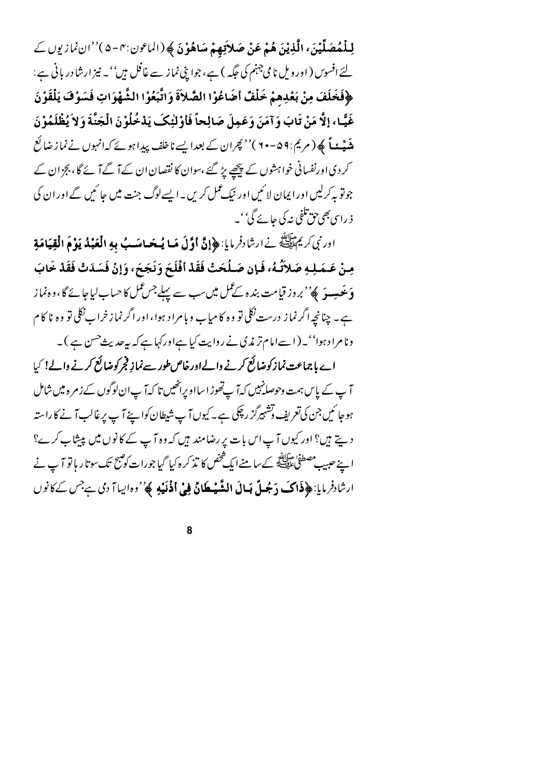لِلْمُصَلِّيْنَ، الَّذِيْنَ هُمْ عَنْ صَلاَتِهِمْ سَاهُوْنَ ﴾ (الماعون:٣-٥)''ان نمازيوں کے لئے افسوس ( اور ویل نامی جہنم کی جگہ ) ہے، جوا پنی نماز سے غافل ہیں''۔ نیز ارشادر بانی ہے: ﴿فَخَلَفَ مِنْ بَعْدِهِمْ خَلْفٌ أَضَاعُوْا الصَّلاَةَ وَاتَّبَعُوْا الشَّهْوَاتِ فَسَوْفَ يَلْقَوْنَ غَيًّا، إلَّا مَنْ تَابَ وَآمَنَ وَعَمِلَ صَالِحاً فَأَوْلَٰئِكَ يَدْخُلُوْنَ الْجَنَّةَ وَلاَ يُظْلَمُوْنَ م**نٹ نے ک**ھ ( مریم : ۹۹ – ۷۰ )'' بھران کے بعدا پسے ناخلف پیدا ہوئے کہ انہوں نے نما ز ضائع کر دی اورنفسانی خواہشوں کے پیچھے پڑ گئے ،سوان کا نقصان ان کے آ گے آ ئے گا ، بجز ان کے جوتو پہ کرلیں اور ایمان لائنیں اور نیک عمل کریں۔ایسےلوگ جنت میں جائنیں گے اور ان کی ذ رای بھی جق تلفی نہ کی جائے گی''۔

اورنبي كريم اللَّهِ فِي ارشادفر مايا: ﴿ إِنَّ أَوَّلَ مَسا يُسْحَسَاسَبُ بِهِ الْعَبْدُ يَوْمَ الْقِيَامَةِ مِنْ عَـمَـلِـهِ صَلاَتُـهُ، فَـإِن صَـلُحَتْ فَقَدْ أَفْلَحَ وَنَجَحَ، وَإِنْ فَسَدَتْ فَقَدْ خَابَ **وَنَحَسِيهَ ﴾''بروز قيامت بنده کے عمل ميں سب سے پہلے جس عمل کا حساب لياجائے گا،وہ نماز** ہے۔ چنانچہ اگر نماز درست نکلی تو وہ کامیاب وبامراد ہوا، اور اگر نماز خراب نکلی تو وہ نا کام

ونامراد ہوا''۔ (اسےامام تر مذی نے روایت کیا ہےاورکہا ہے کہ بیرحدیث حسن ہے )۔ اے ہاجماعت نمازکوضائع کرنے والےاورخاص طور سے نماز فجرکوضائع کرنے والے! کیا آ پ کے پاس ہمت وحوصلۂ پیں کہ آ پےتھوڑ اسااویراٹھیں تا کہ آ پان لوگوں کے زمرہ میں شامل ہوجا ئیں جن کی تعریف توشہبرگز رچکی ہے۔ کیوں آپ شیطان کواپنے آپ پرغالب آنے کا راستہ دیتے ہیں؟ اور کیوں آپ اس بات پر رضامند ہیں کہ وہ آپ کے کانوں میں پپشاپ کرے؟ اپنے حبیب مصطفیٰ ہاتاتھ کے سامنےایک شخص کا تذکر ہ کیا گیا جورات کو ضبح تک سوتا ر ہا تو آ پ نے ارشادفر مايا: ﴿ ذَاكَ دَجُلٌ بَسالَ الشَّيْطَانُ فِي أُذْنَيْهِ ﴾ ''ده ايبا آ دي ہے جس کے کانوں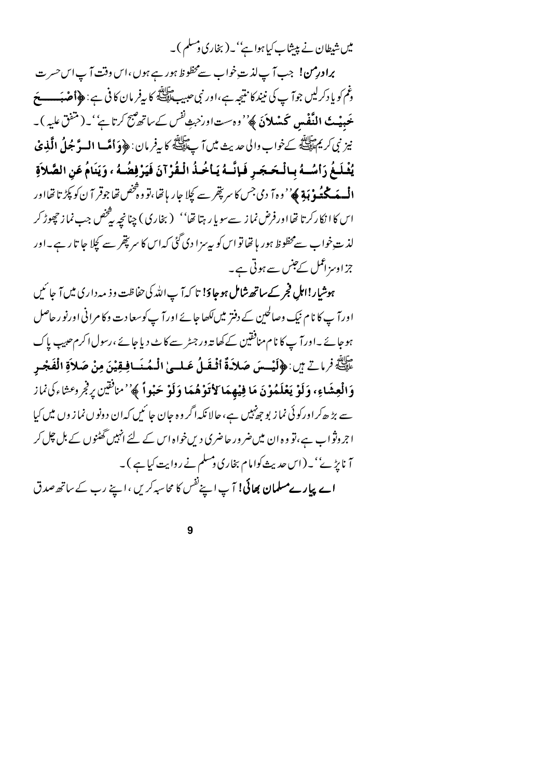میں شیطان نے پیشاب کیا ہوا ہے''۔(بخاری دمسلم )۔

برادرِمن! جب آپ لذ ت خواب سےمحظوظ ہور ہے ہوں ،اس وقت آپ اس حسرت وغم کو یا دکرلیں جوآ پ کی نیند کا نتیجہ ہے،اور نبی حبیب ﷺ کا بیفر مان کا فی ہے : ﴿ أَصْبَهِ ۖ مَعَ **عَعبه پَ النَّفْسِ كَسْلاَنَ ﴾**''وه ستاور حبش<sup>ان</sup>س كے ساتھ *پہج كرتا ہے''* يہ ( متنق عليه ) يہ نيز نبي كريم الله كه تحراب والى حديث ميں آ پ الله كا بيفر مان : ﴿ وَأَمَّسا الْسوَّ جُلُ الَّذِي ۚ يُغْلَغُ رَأْسُـهُ بِبِالْحَجَرِ فَإِنَّـهُ يَأْخُذُ الْقُرْآنَ فَيَرْفِضُـهُ ، وَيَنَامُ عَنِ الصَّلاَةِ الْمِسْمَكْتُهُو ْ بَيْةٍ ﴾ ُ' و ہ آ دی جس کا سر پقِر سے کچلا جار با تھا، تو و څخص تھا جوقر آ ن کو پکڑ تا تھااور اس کا انکارکرتا تھااورفرض نما ز سے سویا رہتا تھا'' (بخاری) چنانچہ پٹخص جب نما ز چھوڑ کر لذ ت خواب سےمحظوظ ہور ہا تھا تو اس کو بیرسز ا دی گئی کہ اس کا سر پتھر سے کچلا جا تا رہے۔اور جزاوسزاعمل کےجنس سے ہوتی ہے۔

ہوشیار!اہل فجر کےساتھ شامل ہوجاؤ! تا کہ آپ اللہ کی حفاظت وذیبہ داری میں آ جا ئیں اورآ پ کا نام نیک وصالحین کے دفتر میں لکھا جائے اور آ پ کوسعا دت وکا مرانی اورنو ر حاصل ہوجائے ۔اورآ پ کا نام منافقین کے کھا تہ ور جسڑ سے کا بے دیا جائے ،رسول اکرم حبیب پاک عَلِيَّةٍ فَرِمَاتٍ بِنِ : ﴿ لَيْسِسَ صَلاَةٌ أَقْفَلُ عَلِيلٍ الْمُعَنَىافِقِيْنَ مِنْ صَلاَةِ الْفَجْر وَالْعِشَاءِ، وَلَوْ يَعْلَمُوْنَ مَا فِيْهِمَا لِأْتَوْهُمَا وَلَوْ حَبْواً ﴾''منافقين يرفجر وعثاءكى نماز سے بڑ ھ کراورکوئی نماز بوجھ نہیں ہے، حالانکہ اگر وہ جان جا ئیں کہ ان دونوں نما زوں میں کیا اجروثواب ہے،تو وہ ان میں ضرور حاضری دیںخواہ اس کے لئے انہیں گھٹنوں کے بل چل کر آ ناپڑ ۓ''۔(اس حدیث کوامام بخاری ومسلم نے روایت کیا ہے )۔ اے پیارےمسلم**ان بھائی!** آپ اپنے<sup>نفس</sup> کا محاسبہ کریں ،اپنے رب کے ساتھ صدق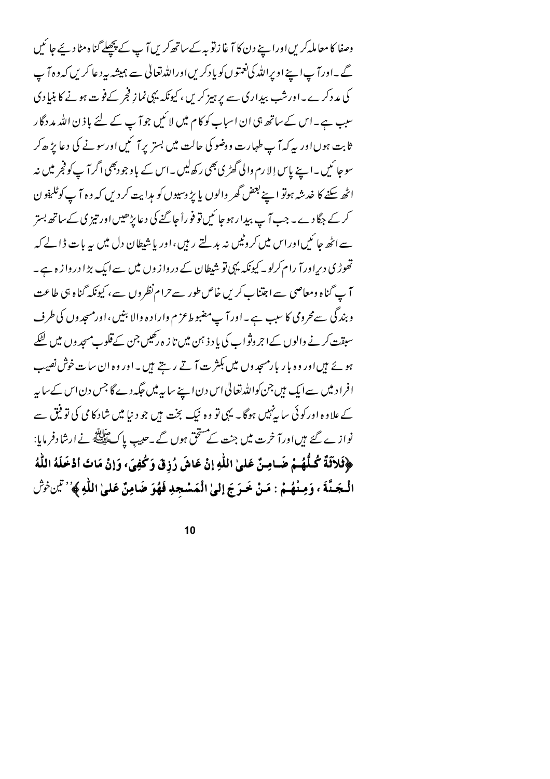وصفا کا معاملہ کریں اوراپنے دن کا آغا زنو بہ کے ساتھ کریں آپ کے پچھلے گناہ مٹا دیئے جا ئیں گے۔اورآ پا ہے اوپراللہ کی نعمتوں کو یادکریں اوراللہ تعالٰی سے ہمیشہ بیرد عاکریں کہ وہ آ پ کی مدد کرے۔اورشپ بیداری سے پر ہیز کریں ، کیونکہ یہی نماز فجر کےفوت ہونے کا بنیادی سبب ہے۔اس کے ساتھ ہی ان اسباب کو کام میں لا ئیں جو آ پ کے لئے باذ ن اللہ مد دگار ثابت ہوںاور پہ کہ آ پ طہارت ووضو کی حالت میں بستر پر آ ئمیں اورسونے کی دعا پڑھ کر سوجا ئیں ۔اپنے پاس اِلا رم والی گھڑی بھی رکھ لیں ۔اس کے باوجودبھی اگر آ پ کو فجر میں نہ اٹھ سکنے کا خدشہ ہوتو اپنے بعض گھر والوں یا پڑ وسیوں کو مہرایت کر دیں کہ وہ آ پ کوٹلیفو ن کر کے جگا دے ۔ جب آ پ بیدار ہو جا ئیں تو فوراً جا گئے گی د عا پڑھیں اور تیز پی کے ساتھ بستر سے اٹھ جا ئیں اور اس میں کروٹیں نہ بدلتے رہیں ،اور باشیطان دل میں یہ بات ڈالے کہ تھوڑ کی دیراورآ رام کرلو۔ کیونکہ یہی تو شیطان کے درواز وں میں سےایک بڑا درواز ہ ہے۔ آ پ گناہ ومعاصی سے اجتناب کریں خاص طور سے حرا م نظروں سے، کیونکہ گناہ ہی طاعت و بندگی سےمحرومی کا سبب ہے۔اور آپ مضبوط عزم واراد ہ والا بنیں ،اورمسجدوں کی طرف سبقت کر نے والوں کےا جروثواب کی یا د ذہن میں تا ز ہ رکھیں جن کے قلوب مسجد وں میں لٹکے ہوئے ہیںاور وہ بار پارمسجدوں میں بکثر ت آ تے رہتے ہیں۔اور وہ ان سات خوش نصیب افراد میں سےایک ہیں جن کواللہ تعالیٰ اس دن اپنے سایہ میں جگہ دے گا جس دن اس کے سایہ کے علاوہ اور کوئی سا پہنیں ہوگا۔ یہی تو وہ نیک بخت ہیں جو دیبا میں شاد کا می کی تو فیق سے نوازے گئے ہیںاورآ خرت میں جنت کے مستحق ہوں گے۔حبیب پاکﷺ نےارشادفر مایا: ﴿فَلاَثَةٌ كُلُّهُمْ ضَامِنٌ عَلَىٰ اللَّهِ إِنْ عَاشَ رُزِقٌ وَكُفِيَ، وَإِنْ مَاتَ أَدْخَلَهُ اللَّهُ الْجَدَّةَ ، وَمِنْهُمْ : مَنْ حَرَجَ إلىٰ الْمَسْجِدِ فَهُوَ ضَامِنٌ عَلَىٰ اللَّهِ ﴾ ُ' تَيْنِ ثَوْش